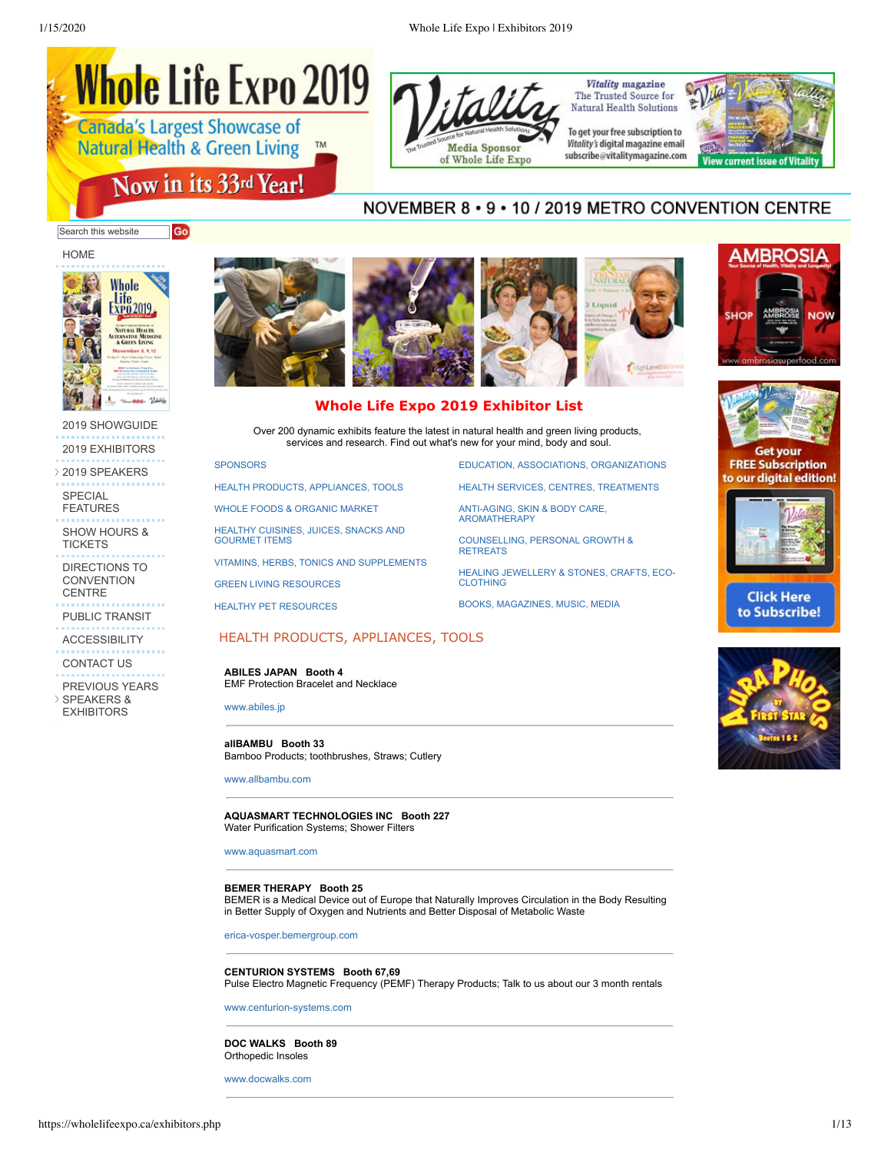<span id="page-0-1"></span>



**Vitality** magazine The Trusted Source for **Natural Health Solutions** 

To get your free subscription to Vitality's digital magazine email subscribe@vitalitymagazine.com



# NOVEMBER 8 · 9 · 10 / 2019 METRO CONVENTION CENTRE

Search this website Go

[HOME](https://wholelifeexpo.ca/index.php)



[2019 SHOWGUIDE](http://tiny.cc/mvwdez) [2019 EXHIBITORS](https://wholelifeexpo.ca/exhibitors.php)

[2019 SPEAKERS](javascript:void(0);)

SPECIAL [FEATURES](https://wholelifeexpo.ca/features.php)

[SHOW HOURS &](https://wholelifeexpo.ca/hours.php) **TICKETS** 

[DIRECTIONS TO](https://wholelifeexpo.ca/hours.php#directions) **CONVENTION CENTRE** 

[PUBLIC TRANSIT](https://wholelifeexpo.ca/hours.php#publicTransit)

**[ACCESSIBILITY](https://wholelifeexpo.ca/hours.php#accessibility)** 

[CONTACT US](https://wholelifeexpo.ca/contact.php)

[PREVIOUS YEARS](javascript:void(0);) SPEAKERS &

EXHIBITORS



# **Whole Life Expo 2019 Exhibitor List**

Over 200 dynamic exhibits feature the latest in natural health and green living products, services and research. Find out what's new for your mind, body and soul.

#### **SPONSORS**

[HEALTH PRODUCTS, APPLIANCES, TOOLS](#page-0-0)

[WHOLE FOODS & ORGANIC MARKET](#page-2-0)

[HEALTHY CUISINES, JUICES, SNACKS AND](#page-2-1) GOURMET ITEMS

[VITAMINS, HERBS, TONICS AND SUPPLEMENTS](#page-4-0)

[GREEN LIVING RESOURCES](#page-5-0)

HEALTHY PET RESOURCES

## <span id="page-0-0"></span>HEALTH PRODUCTS, APPLIANCES, TOOLS

**ABILES JAPAN Booth 4** EMF Protection Bracelet and Necklace

[www.abiles.jp](http://www.abiles.jp/)

#### **allBAMBU Booth 33** Bamboo Products; toothbrushes, Straws; Cutlery

[www.allbambu.com](http://www.allbambu.com/)

#### **AQUASMART TECHNOLOGIES INC Booth 227** Water Purification Systems; Shower Filters

[www.aquasmart.com](http://www.aquasmart.com/)

#### **BEMER THERAPY Booth 25**

BEMER is a Medical Device out of Europe that Naturally Improves Circulation in the Body Resulting in Better Supply of Oxygen and Nutrients and Better Disposal of Metabolic Waste

[erica-vosper.bemergroup.com](http://erica-vosper.bemergroup.com/)

## **CENTURION SYSTEMS Booth 67,69**

Pulse Electro Magnetic Frequency (PEMF) Therapy Products; Talk to us about our 3 month rentals

**DOC WALKS Booth 89** Orthopedic Insoles

[www.docwalks.com](http://www.docwalks.com/)

[EDUCATION, ASSOCIATIONS, ORGANIZATIONS](#page-5-1)

[HEALTH SERVICES, CENTRES, TREATMENTS](#page-6-0)

[ANTI-AGING, SKIN & BODY CARE,](#page-7-0) AROMATHERAPY

[COUNSELLING, PERSONAL GROWTH &](#page-8-0) **RETREATS** 

[HEALING JEWELLERY & STONES, CRAFTS, ECO-](#page-10-0)CLOTHING

[BOOKS, MAGAZINES, MUSIC, MEDIA](#page-11-0)





**Get your FREE Subscription** to our digital edition!



**Click Here** to Subscribe!



[www.centurion-systems.com](http://www.centurion-systems.com/)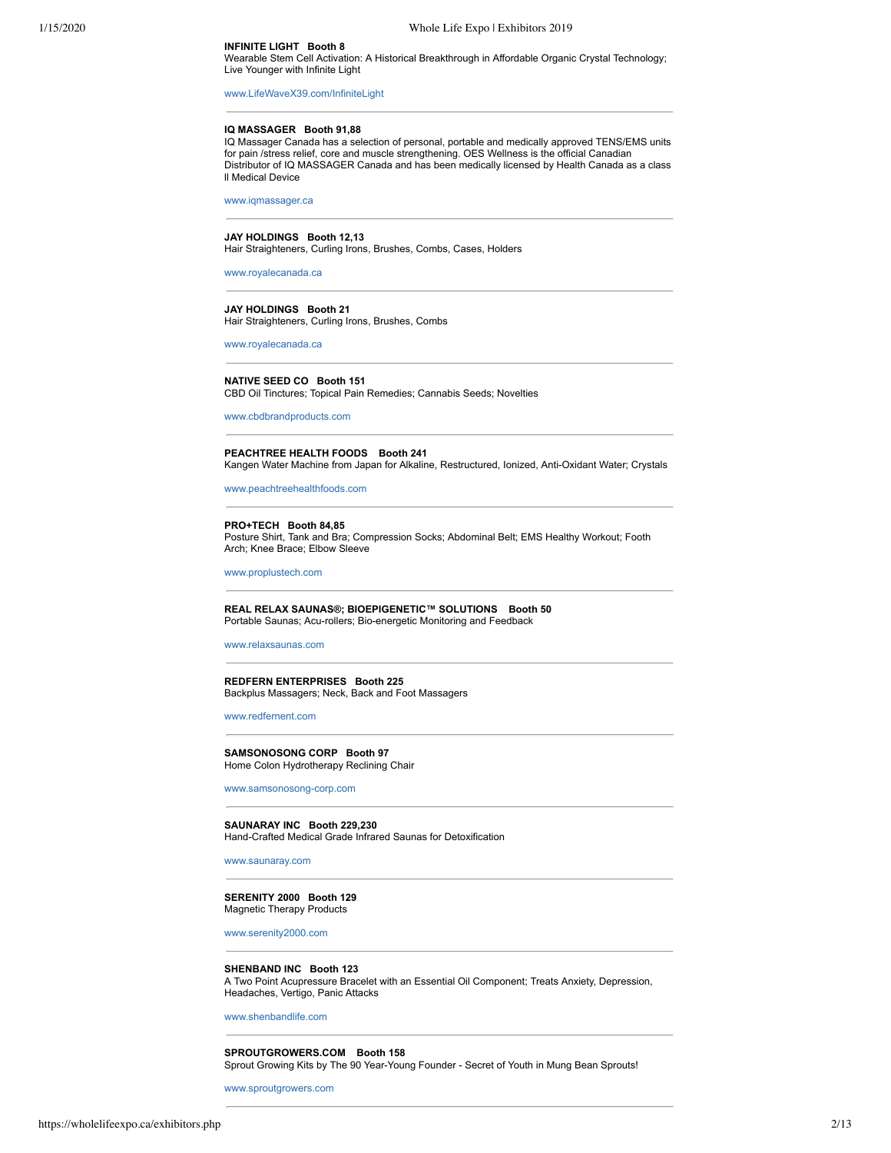## **INFINITE LIGHT Booth 8**

Wearable Stem Cell Activation: A Historical Breakthrough in Affordable Organic Crystal Technology; Live Younger with Infinite Light

[www.LifeWaveX39.com/InfiniteLight](http://www.lifewavex39.com/InfiniteLight)

#### **IQ MASSAGER Booth 91,88**

IQ Massager Canada has a selection of personal, portable and medically approved TENS/EMS units for pain /stress relief, core and muscle strengthening. OES Wellness is the official Canadian Distributor of IQ MASSAGER Canada and has been medically licensed by Health Canada as a class ll Medical Device

[www.iqmassager.ca](http://www.iqmassager.ca/)

#### **JAY HOLDINGS Booth 12,13** Hair Straighteners, Curling Irons, Brushes, Combs, Cases, Holders

[www.royalecanada.ca](http://www.royalecanada.ca/)

#### **JAY HOLDINGS Booth 21** Hair Straighteners, Curling Irons, Brushes, Combs

[www.royalecanada.ca](http://www.royalecanada.ca/)

#### **NATIVE SEED CO Booth 151** CBD Oil Tinctures; Topical Pain Remedies; Cannabis Seeds; Novelties

[www.cbdbrandproducts.com](http://www.cbdbrandproducts.com/)

#### **PEACHTREE HEALTH FOODS Booth 241** Kangen Water Machine from Japan for Alkaline, Restructured, Ionized, Anti-Oxidant Water; Crystals

[www.peachtreehealthfoods.com](http://www.peachtreehealthfoods.com/)

#### **PRO+TECH Booth 84,85**

Posture Shirt, Tank and Bra; Compression Socks; Abdominal Belt; EMS Healthy Workout; Footh Arch; Knee Brace; Elbow Sleeve

[www.proplustech.com](http://www.proplustech.com/)

#### **REAL RELAX SAUNAS®; BIOEPIGENETIC™ SOLUTIONS Booth 50** Portable Saunas; Acu-rollers; Bio-energetic Monitoring and Feedback

#### [www.relaxsaunas.com](http://www.relaxsaunas.com/)

**REDFERN ENTERPRISES Booth 225** Backplus Massagers; Neck, Back and Foot Massagers

[www.redfernent.com](http://www.redfernent.com/)

**SAMSONOSONG CORP Booth 97** Home Colon Hydrotherapy Reclining Chair

[www.samsonosong-corp.com](http://www.samsonosong-corp.com/)

**SAUNARAY INC Booth 229,230** Hand-Crafted Medical Grade Infrared Saunas for Detoxification

[www.saunaray.com](http://www.saunaray.com/)

#### **SERENITY 2000 Booth 129** Magnetic Therapy Products

[www.serenity2000.com](http://www.serenity2000.com/)

#### **SHENBAND INC Booth 123**

A Two Point Acupressure Bracelet with an Essential Oil Component; Treats Anxiety, Depression, Headaches, Vertigo, Panic Attacks

[www.shenbandlife.com](http://www.shenbandlife.com/)

## **SPROUTGROWERS.COM Booth 158**

Sprout Growing Kits by The 90 Year-Young Founder - Secret of Youth in Mung Bean Sprouts!

[www.sproutgrowers.com](http://www.sproutgrowers.com/)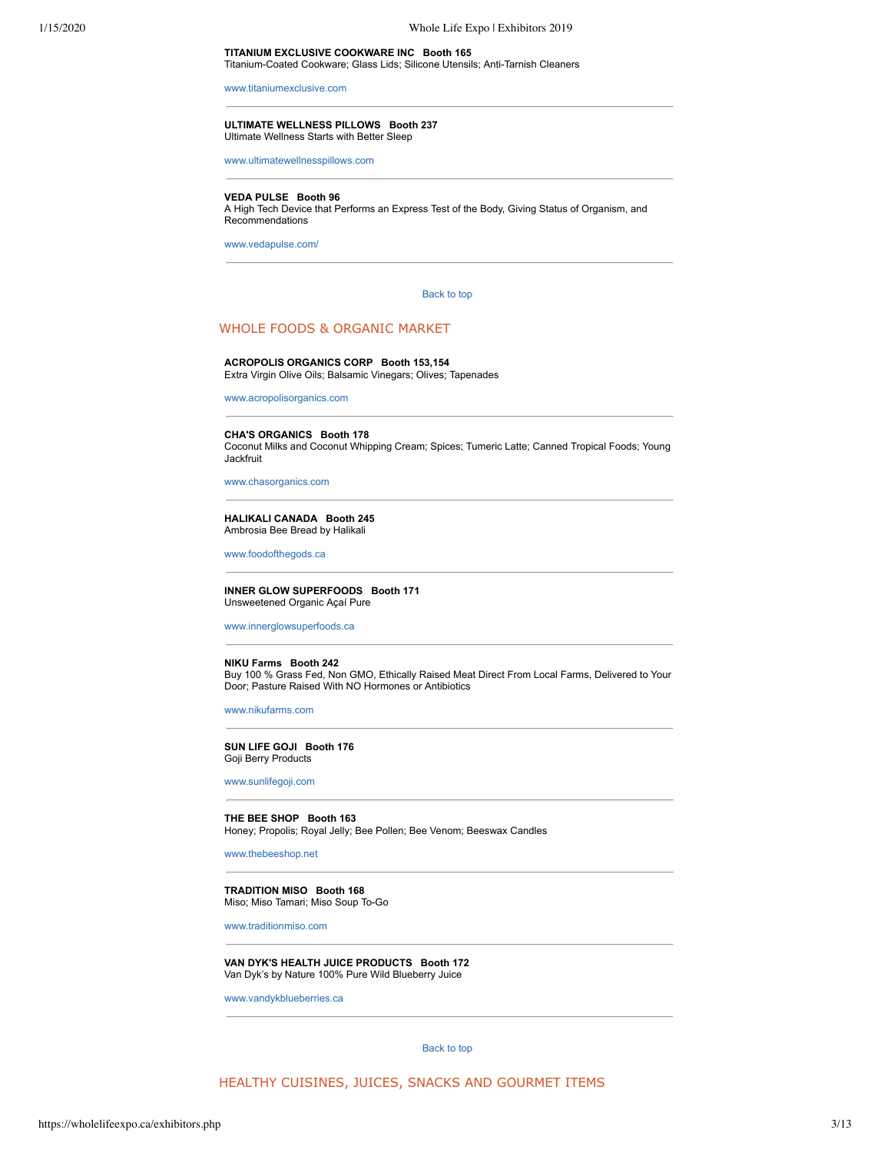#### **TITANIUM EXCLUSIVE COOKWARE INC Booth 165** Titanium-Coated Cookware; Glass Lids; Silicone Utensils; Anti-Tarnish Cleaners

[www.titaniumexclusive.com](http://www.titaniumexclusive.com/)

#### **ULTIMATE WELLNESS PILLOWS Booth 237** Ultimate Wellness Starts with Better Sleep

[www.ultimatewellnesspillows.com](http://www.ultimatewellnesspillows.com/)

## **VEDA PULSE Booth 96**

A High Tech Device that Performs an Express Test of the Body, Giving Status of Organism, and Recommendations

<span id="page-2-0"></span>[www.vedapulse.com/](http://www.vedapulse.com/)

#### [Back to top](#page-0-1)

# WHOLE FOODS & ORGANIC MARKET

#### **ACROPOLIS ORGANICS CORP Booth 153,154**

Extra Virgin Olive Oils; Balsamic Vinegars; Olives; Tapenades

[www.acropolisorganics.com](http://www.acropolisorganics.com/)

#### **CHA'S ORGANICS Booth 178**

Coconut Milks and Coconut Whipping Cream; Spices; Tumeric Latte; Canned Tropical Foods; Young Jackfruit

[www.chasorganics.com](http://www.chasorganics.com/)

#### **HALIKALI CANADA Booth 245** Ambrosia Bee Bread by Halikali

[www.foodofthegods.ca](http://www.foodofthegods.ca/)

#### **INNER GLOW SUPERFOODS Booth 171** Unsweetened Organic Açaí Pure

[www.innerglowsuperfoods.ca](http://www.innerglowsuperfoods.ca/)

#### **NIKU Farms Booth 242**

Buy 100 % Grass Fed, Non GMO, Ethically Raised Meat Direct From Local Farms, Delivered to Your Door; Pasture Raised With NO Hormones or Antibiotics

[www.nikufarms.com](http://www.nikufarms.com/)

#### **SUN LIFE GOJI Booth 176** Goji Berry Products

[www.sunlifegoji.com](http://www.sunlifegoji.com/)

## **THE BEE SHOP Booth 163**

Honey; Propolis; Royal Jelly; Bee Pollen; Bee Venom; Beeswax Candles

[www.thebeeshop.net](http://www.thebeeshop.net/)

#### **TRADITION MISO Booth 168** Miso; Miso Tamari; Miso Soup To-Go

[www.traditionmiso.com](http://www.traditionmiso.com/)

## **VAN DYK'S HEALTH JUICE PRODUCTS Booth 172** Van Dyk's by Nature 100% Pure Wild Blueberry Juice

<span id="page-2-1"></span>[www.vandykblueberries.ca](http://www.vandykblueberries.ca/)

[Back to top](#page-0-1)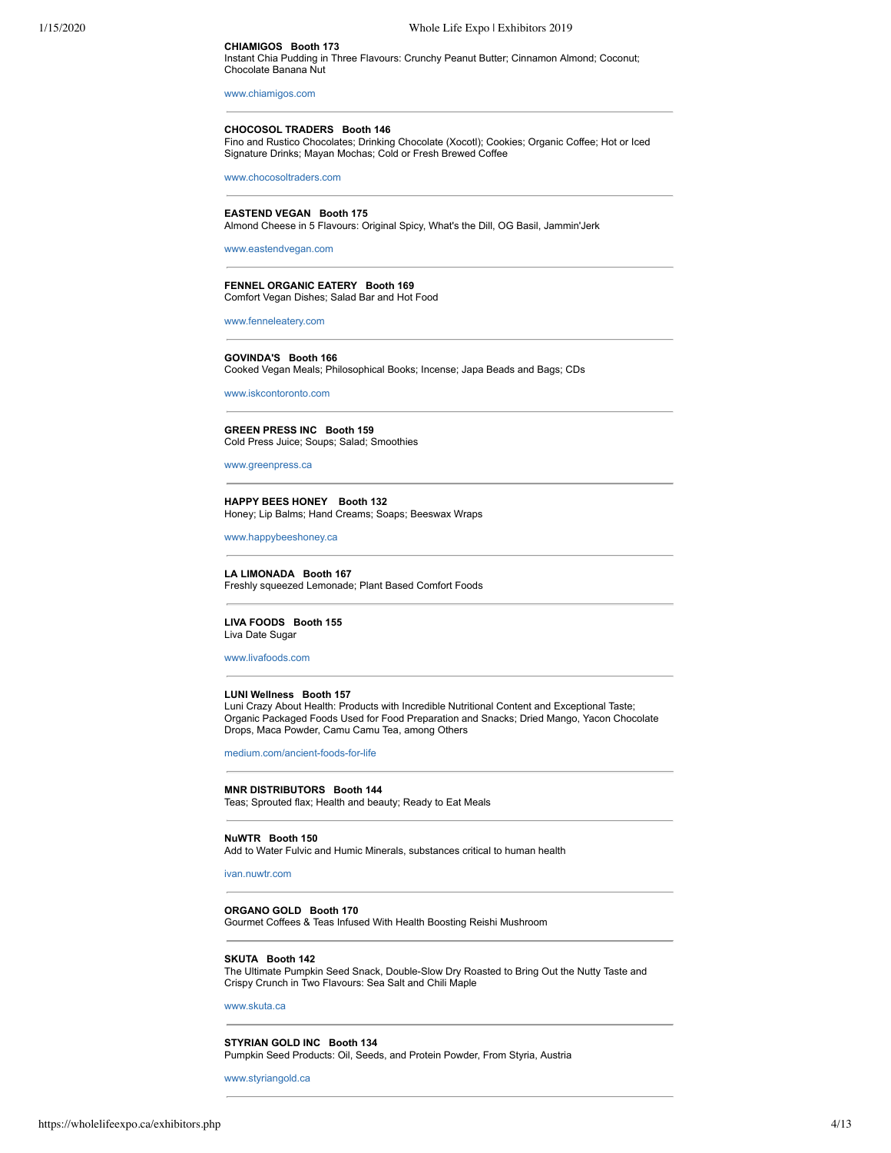## **CHIAMIGOS Booth 173**

Instant Chia Pudding in Three Flavours: Crunchy Peanut Butter; Cinnamon Almond; Coconut; Chocolate Banana Nut

[www.chiamigos.com](http://www.chiamigos.com/)

**CHOCOSOL TRADERS Booth 146**

Fino and Rustico Chocolates; Drinking Chocolate (Xocotl); Cookies; Organic Coffee; Hot or Iced Signature Drinks; Mayan Mochas; Cold or Fresh Brewed Coffee

[www.chocosoltraders.com](http://www.chocosoltraders.com/)

#### **EASTEND VEGAN Booth 175**

Almond Cheese in 5 Flavours: Original Spicy, What's the Dill, OG Basil, Jammin'Jerk

[www.eastendvegan.com](http://www.eastendvegan.com/)

#### **FENNEL ORGANIC EATERY Booth 169** Comfort Vegan Dishes; Salad Bar and Hot Food

[www.fenneleatery.com](http://www.fenneleatery.com/)

**GOVINDA'S Booth 166** Cooked Vegan Meals; Philosophical Books; Incense; Japa Beads and Bags; CDs

[www.iskcontoronto.com](http://www.iskcontoronto.com/)

#### **GREEN PRESS INC Booth 159** Cold Press Juice; Soups; Salad; Smoothies

[www.greenpress.ca](http://www.greenpress.ca/)

**HAPPY BEES HONEY Booth 132** Honey; Lip Balms; Hand Creams; Soaps; Beeswax Wraps

[www.happybeeshoney.ca](http://www.happybeeshoney.ca/)

## **LA LIMONADA Booth 167** Freshly squeezed Lemonade; Plant Based Comfort Foods

## **LIVA FOODS Booth 155**

Liva Date Sugar

[www.livafoods.com](http://www.livafoods.com/)

#### **LUNI Wellness Booth 157**

Luni Crazy About Health: Products with Incredible Nutritional Content and Exceptional Taste; Organic Packaged Foods Used for Food Preparation and Snacks; Dried Mango, Yacon Chocolate Drops, Maca Powder, Camu Camu Tea, among Others

[medium.com/ancient-foods-for-life](http://medium.com/ancient-foods-for-life)

#### **MNR DISTRIBUTORS Booth 144**

Teas; Sprouted flax; Health and beauty; Ready to Eat Meals

#### **NuWTR Booth 150**

Add to Water Fulvic and Humic Minerals, substances critical to human health

ivan nuwtr.com

**ORGANO GOLD Booth 170** Gourmet Coffees & Teas Infused With Health Boosting Reishi Mushroom

## **SKUTA Booth 142**

The Ultimate Pumpkin Seed Snack, Double-Slow Dry Roasted to Bring Out the Nutty Taste and Crispy Crunch in Two Flavours: Sea Salt and Chili Maple

[www.skuta.ca](http://www.skuta.ca/)

**STYRIAN GOLD INC Booth 134**

Pumpkin Seed Products: Oil, Seeds, and Protein Powder, From Styria, Austria

[www.styriangold.ca](http://www.styriangold.ca/)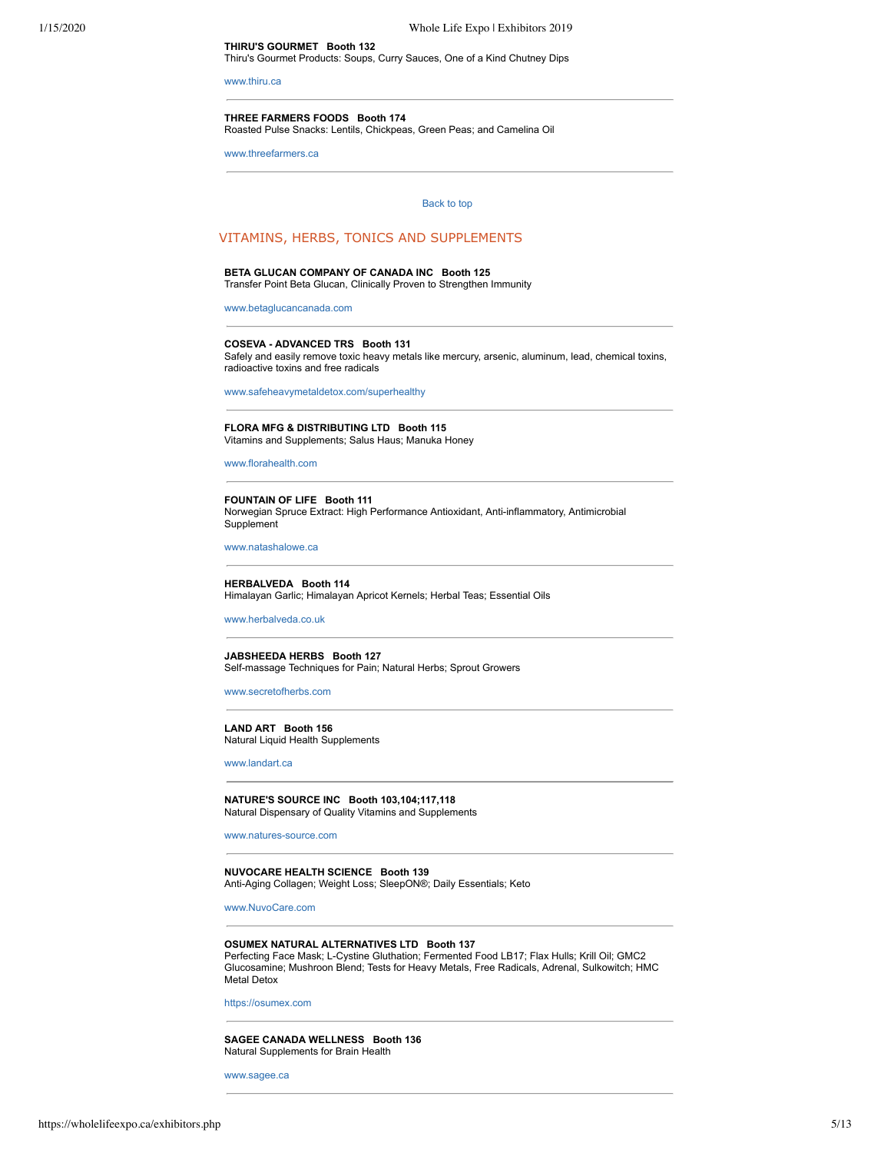**THIRU'S GOURMET Booth 132** Thiru's Gourmet Products: Soups, Curry Sauces, One of a Kind Chutney Dips

[www.thiru.ca](http://www.thiru.ca/)

#### **THREE FARMERS FOODS Booth 174**

Roasted Pulse Snacks: Lentils, Chickpeas, Green Peas; and Camelina Oil

<span id="page-4-0"></span>[www.threefarmers.ca](http://www.threefarmers.ca/)

## [Back to top](#page-0-1)

## VITAMINS, HERBS, TONICS AND SUPPLEMENTS

## **BETA GLUCAN COMPANY OF CANADA INC Booth 125**

Transfer Point Beta Glucan, Clinically Proven to Strengthen Immunity

[www.betaglucancanada.com](http://www.betaglucancanada.com/)

#### **COSEVA - ADVANCED TRS Booth 131**

Safely and easily remove toxic heavy metals like mercury, arsenic, aluminum, lead, chemical toxins, radioactive toxins and free radicals

[www.safeheavymetaldetox.com/superhealthy](http://www.safeheavymetaldetox.com/superhealthy)

#### **FLORA MFG & DISTRIBUTING LTD Booth 115**

Vitamins and Supplements; Salus Haus; Manuka Honey

[www.florahealth.com](http://www.florahealth.com/)

#### **FOUNTAIN OF LIFE Booth 111**

Norwegian Spruce Extract: High Performance Antioxidant, Anti-inflammatory, Antimicrobial Supplement

[www.natashalowe.ca](http://www.natashalowe.ca/)

**HERBALVEDA Booth 114** Himalayan Garlic; Himalayan Apricot Kernels; Herbal Teas; Essential Oils

[www.herbalveda.co.uk](http://www.herbalveda.co.uk/)

**JABSHEEDA HERBS Booth 127** Self-massage Techniques for Pain; Natural Herbs; Sprout Growers

[www.secretofherbs.com](http://www.secretofherbs.com/)

**LAND ART Booth 156** Natural Liquid Health Supplements

[www.landart.ca](http://www.landart.ca/)

**NATURE'S SOURCE INC Booth 103,104;117,118** Natural Dispensary of Quality Vitamins and Supplements

[www.natures-source.com](http://www.natures-source.com/)

**NUVOCARE HEALTH SCIENCE Booth 139** Anti-Aging Collagen; Weight Loss; SleepON®; Daily Essentials; Keto

[www.NuvoCare.com](http://www.nuvocare.com/)

#### **OSUMEX NATURAL ALTERNATIVES LTD Booth 137**

Perfecting Face Mask; L-Cystine Gluthation; Fermented Food LB17; Flax Hulls; Krill Oil; GMC2 Glucosamine; Mushroon Blend; Tests for Heavy Metals, Free Radicals, Adrenal, Sulkowitch; HMC Metal Detox

[https://osumex.com](http://https//osumex.com)

**SAGEE CANADA WELLNESS Booth 136** Natural Supplements for Brain Health

[www.sagee.ca](http://www.sagee.ca/)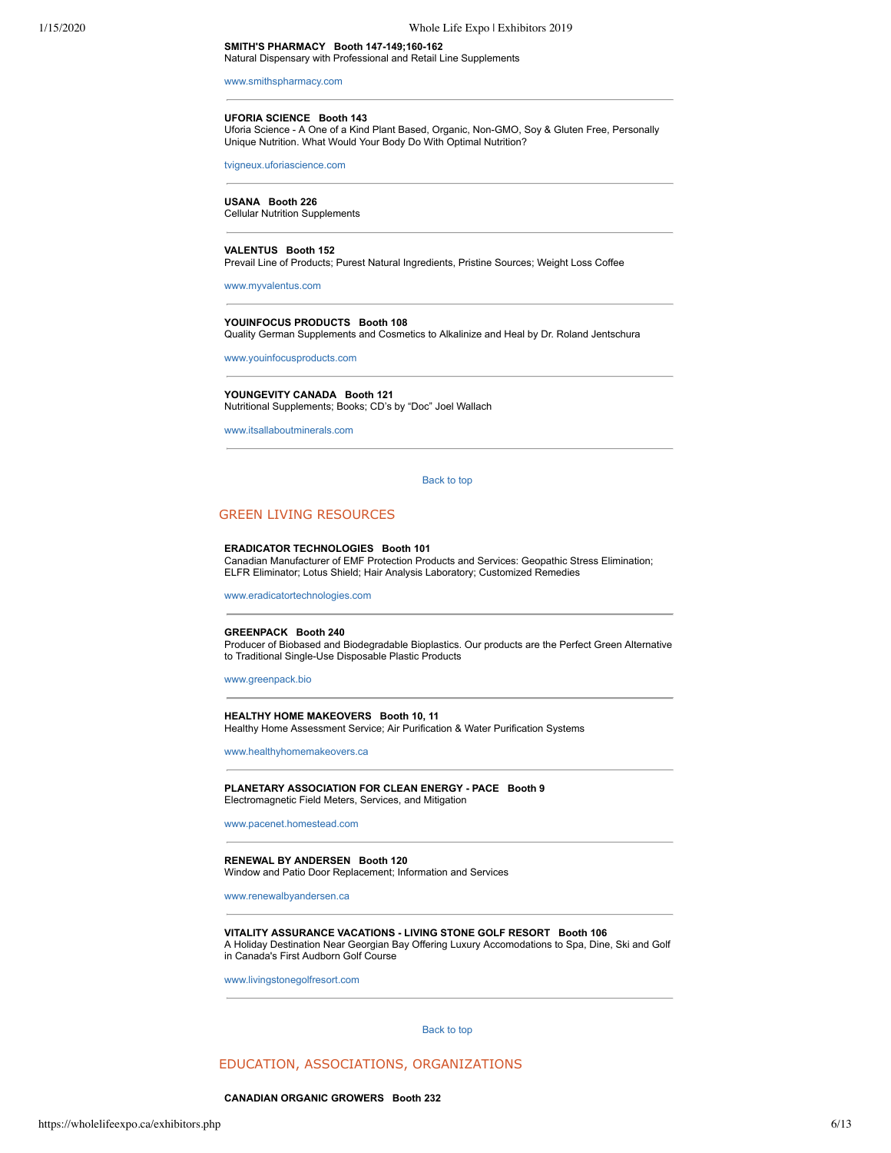**SMITH'S PHARMACY Booth 147-149;160-162** Natural Dispensary with Professional and Retail Line Supplements

[www.smithspharmacy.com](http://www.smithspharmacy.com/) 

## **UFORIA SCIENCE Booth 143**

Uforia Science - A One of a Kind Plant Based, Organic, Non-GMO, Soy & Gluten Free, Personally Unique Nutrition. What Would Your Body Do With Optimal Nutrition?

[tvigneux.uforiascience.com](http://tvigneux.uforiascience.com/)

#### **USANA Booth 226**

Cellular Nutrition Supplements

#### **VALENTUS Booth 152**

Prevail Line of Products; Purest Natural Ingredients, Pristine Sources; Weight Loss Coffee

[www.myvalentus.com](http://www.myvalentus.com/)

## **YOUINFOCUS PRODUCTS Booth 108**

Quality German Supplements and Cosmetics to Alkalinize and Heal by Dr. Roland Jentschura

[www.youinfocusproducts.com](http://www.youinfocusproducts.com/)

#### **YOUNGEVITY CANADA Booth 121**

Nutritional Supplements; Books; CD's by "Doc" Joel Wallach

<span id="page-5-0"></span>[www.itsallaboutminerals.com](http://www.itsallaboutminerals.com/)

[Back to top](#page-0-1) 

## GREEN LIVING RESOURCES

#### **ERADICATOR TECHNOLOGIES Booth 101**

Canadian Manufacturer of EMF Protection Products and Services: Geopathic Stress Elimination; ELFR Eliminator; Lotus Shield; Hair Analysis Laboratory; Customized Remedies

[www.eradicatortechnologies.com](http://www.eradicatortechnologies.com/)

#### **GREENPACK Booth 240**

Producer of Biobased and Biodegradable Bioplastics. Our products are the Perfect Green Alternative to Traditional Single-Use Disposable Plastic Products

[www.greenpack.bio](http://www.greenpack.bio/)

#### **HEALTHY HOME MAKEOVERS Booth 10, 11** Healthy Home Assessment Service; Air Purification & Water Purification Systems

[www.healthyhomemakeovers.ca](http://www.healthyhomemakeovers.ca/)

**PLANETARY ASSOCIATION FOR CLEAN ENERGY - PACE Booth 9** Electromagnetic Field Meters, Services, and Mitigation

[www.pacenet.homestead.com](http://www.pacenet.homestead.com/)

**RENEWAL BY ANDERSEN Booth 120** Window and Patio Door Replacement; Information and Services

[www.renewalbyandersen.ca](http://www.renewalbyandersen.ca/)

#### **VITALITY ASSURANCE VACATIONS - LIVING STONE GOLF RESORT Booth 106**

A Holiday Destination Near Georgian Bay Offering Luxury Accomodations to Spa, Dine, Ski and Golf in Canada's First Audborn Golf Course

<span id="page-5-1"></span>[www.livingstonegolfresort.com](http://www.livingstonegolfresort.com/)

[Back to top](#page-0-1) 

## EDUCATION, ASSOCIATIONS, ORGANIZATIONS

#### **CANADIAN ORGANIC GROWERS Booth 232**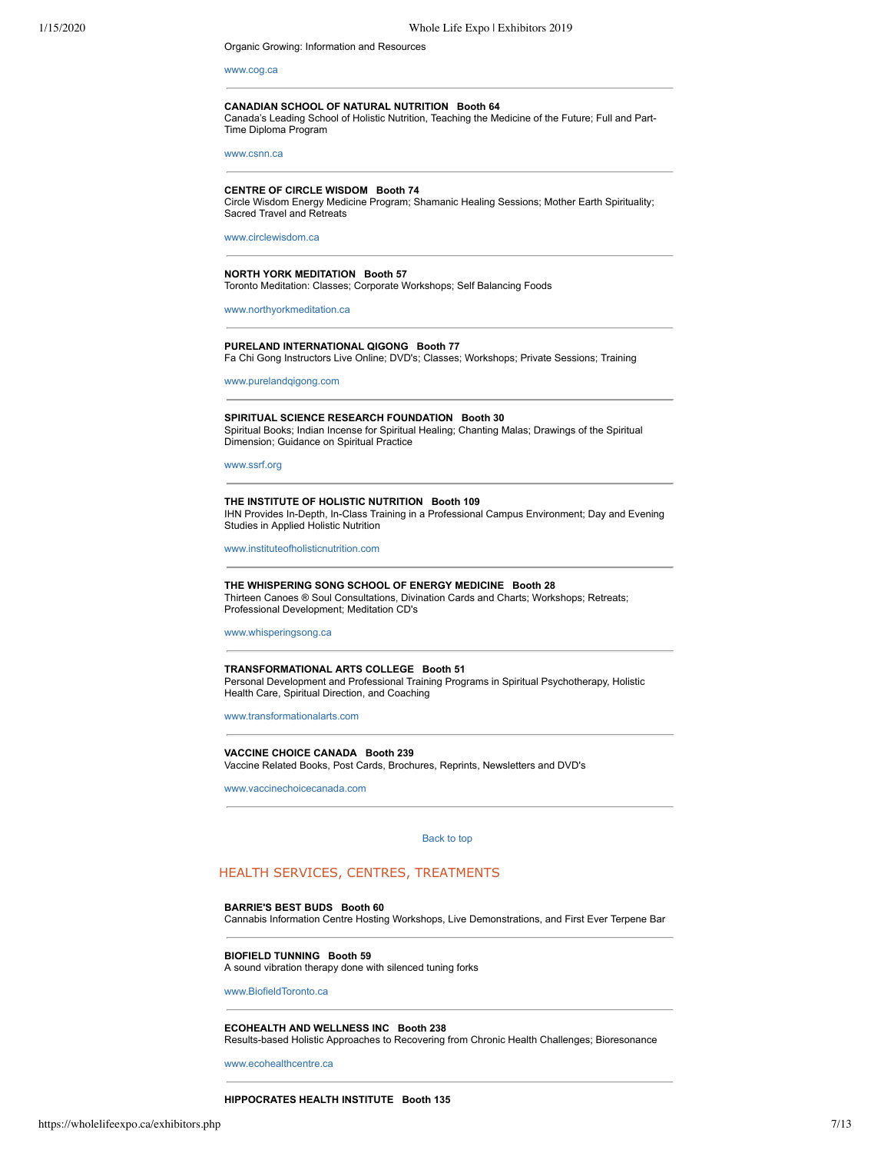Organic Growing: Information and Resources

[www.cog.ca](http://www.cog.ca/)

#### **CANADIAN SCHOOL OF NATURAL NUTRITION Booth 64** Canada's Leading School of Holistic Nutrition, Teaching the Medicine of the Future; Full and Part-Time Diploma Program

[www.csnn.ca](http://www.csnn.ca/)

#### **CENTRE OF CIRCLE WISDOM Booth 74**

Circle Wisdom Energy Medicine Program; Shamanic Healing Sessions; Mother Earth Spirituality; Sacred Travel and Retreats

[www.circlewisdom.ca](http://www.circlewisdom.ca/)

## **NORTH YORK MEDITATION Booth 57**

Toronto Meditation: Classes; Corporate Workshops; Self Balancing Foods

[www.northyorkmeditation.ca](http://www.northyorkmeditation.ca/)

#### **PURELAND INTERNATIONAL QIGONG Booth 77** Fa Chi Gong Instructors Live Online; DVD's; Classes; Workshops; Private Sessions; Training

[www.purelandqigong.com](http://www.purelandqigong.com/)

**SPIRITUAL SCIENCE RESEARCH FOUNDATION Booth 30** Spiritual Books; Indian Incense for Spiritual Healing; Chanting Malas; Drawings of the Spiritual Dimension; Guidance on Spiritual Practice

#### [www.ssrf.org](http://www.ssrf.org/)

**THE INSTITUTE OF HOLISTIC NUTRITION Booth 109** IHN Provides In-Depth, In-Class Training in a Professional Campus Environment; Day and Evening Studies in Applied Holistic Nutrition

[www.instituteofholisticnutrition.com](http://www.instituteofholisticnutrition.com%20/) 

**THE WHISPERING SONG SCHOOL OF ENERGY MEDICINE Booth 28** Thirteen Canoes ® Soul Consultations, Divination Cards and Charts; Workshops; Retreats; Professional Development; Meditation CD's

[www.whisperingsong.ca](http://www.whisperingsong.ca/)

**TRANSFORMATIONAL ARTS COLLEGE Booth 51** Personal Development and Professional Training Programs in Spiritual Psychotherapy, Holistic Health Care, Spiritual Direction, and Coaching

[www.transformationalarts.com](http://www.transformationalarts.com/)

**VACCINE CHOICE CANADA Booth 239** Vaccine Related Books, Post Cards, Brochures, Reprints, Newsletters and DVD's

<span id="page-6-0"></span>[www.vaccinechoicecanada.com](http://www.vaccinechoicecanada.com/)

[Back to top](#page-0-1) 

## HEALTH SERVICES, CENTRES, TREATMENTS

#### **BARRIE'S BEST BUDS Booth 60**

Cannabis Information Centre Hosting Workshops, Live Demonstrations, and First Ever Terpene Bar

**BIOFIELD TUNNING Booth 59**

A sound vibration therapy done with silenced tuning forks

[www.BiofieldToronto.ca](http://www.biofieldtoronto.ca/)

#### **ECOHEALTH AND WELLNESS INC Booth 238**

Results-based Holistic Approaches to Recovering from Chronic Health Challenges; Bioresonance

[www.ecohealthcentre.ca](http://www.ecohealthcentre.ca/)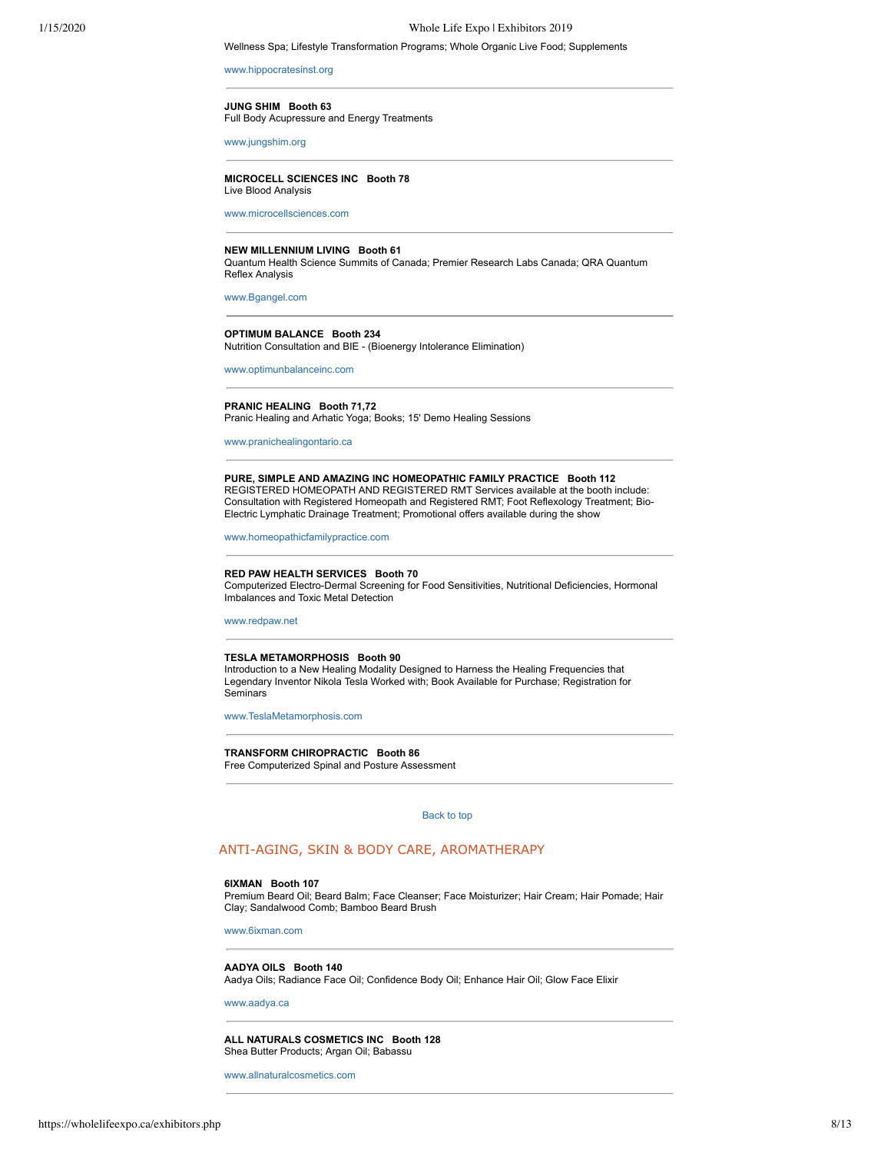#### 1/15/2020 Whole Life Expo | Exhibitors 2019

#### Wellness Spa; Lifestyle Transformation Programs; Whole Organic Live Food; Supplements

#### [www.hippocratesinst.org](http://www.hippocratesinst.org/)

#### **JUNG SHIM Booth 63**

Full Body Acupressure and Energy Treatments

[www.jungshim.org](http://www.jungshim.org/)

## **MICROCELL SCIENCES INC Booth 78**

Live Blood Analysis

[www.microcellsciences.com](http://www.microcellsciences.com/)

#### **NEW MILLENNIUM LIVING Booth 61**

Quantum Health Science Summits of Canada; Premier Research Labs Canada; QRA Quantum Reflex Analysis

[www.Bgangel.com](http://www.bgangel.com/)

## **OPTIMUM BALANCE Booth 234**

Nutrition Consultation and BIE - (Bioenergy Intolerance Elimination)

[www.optimunbalanceinc.com](http://www.optimunbalanceinc.com/)

#### **PRANIC HEALING Booth 71,72**

Pranic Healing and Arhatic Yoga; Books; 15' Demo Healing Sessions

[www.pranichealingontario.ca](http://www.pranichealingontario.ca/)

#### **PURE, SIMPLE AND AMAZING INC HOMEOPATHIC FAMILY PRACTICE Booth 112** REGISTERED HOMEOPATH AND REGISTERED RMT Services available at the booth include: Consultation with Registered Homeopath and Registered RMT; Foot Reflexology Treatment; Bio-Electric Lymphatic Drainage Treatment; Promotional offers available during the show

[www.homeopathicfamilypractice.com](http://www.homeopathicfamilypractice.com/)

#### **RED PAW HEALTH SERVICES Booth 70**

Computerized Electro-Dermal Screening for Food Sensitivities, Nutritional Deficiencies, Hormonal Imbalances and Toxic Metal Detection

[www.redpaw.net](http://www.redpaw.net/)

#### **TESLA METAMORPHOSIS Booth 90**

Introduction to a New Healing Modality Designed to Harness the Healing Frequencies that Legendary Inventor Nikola Tesla Worked with; Book Available for Purchase; Registration for **Seminars** 

[www.TeslaMetamorphosis.com](http://www.teslametamorphosis.com/)

**TRANSFORM CHIROPRACTIC Booth 86** Free Computerized Spinal and Posture Assessment

#### [Back to top](#page-0-1)

## <span id="page-7-0"></span>ANTI-AGING, SKIN & BODY CARE, AROMATHERAPY

#### **6IXMAN Booth 107**

Premium Beard Oil; Beard Balm; Face Cleanser; Face Moisturizer; Hair Cream; Hair Pomade; Hair Clay; Sandalwood Comb; Bamboo Beard Brush

[www.6ixman.com](http://www.6ixman.com/)

## **AADYA OILS Booth 140**

Aadya Oils; Radiance Face Oil; Confidence Body Oil; Enhance Hair Oil; Glow Face Elixir

## [www.aadya.ca](http://www.aadya.ca/)

**ALL NATURALS COSMETICS INC Booth 128** Shea Butter Products; Argan Oil; Babassu

[www.allnaturalcosmetics.com](http://www.allnaturalcosmetics.com/)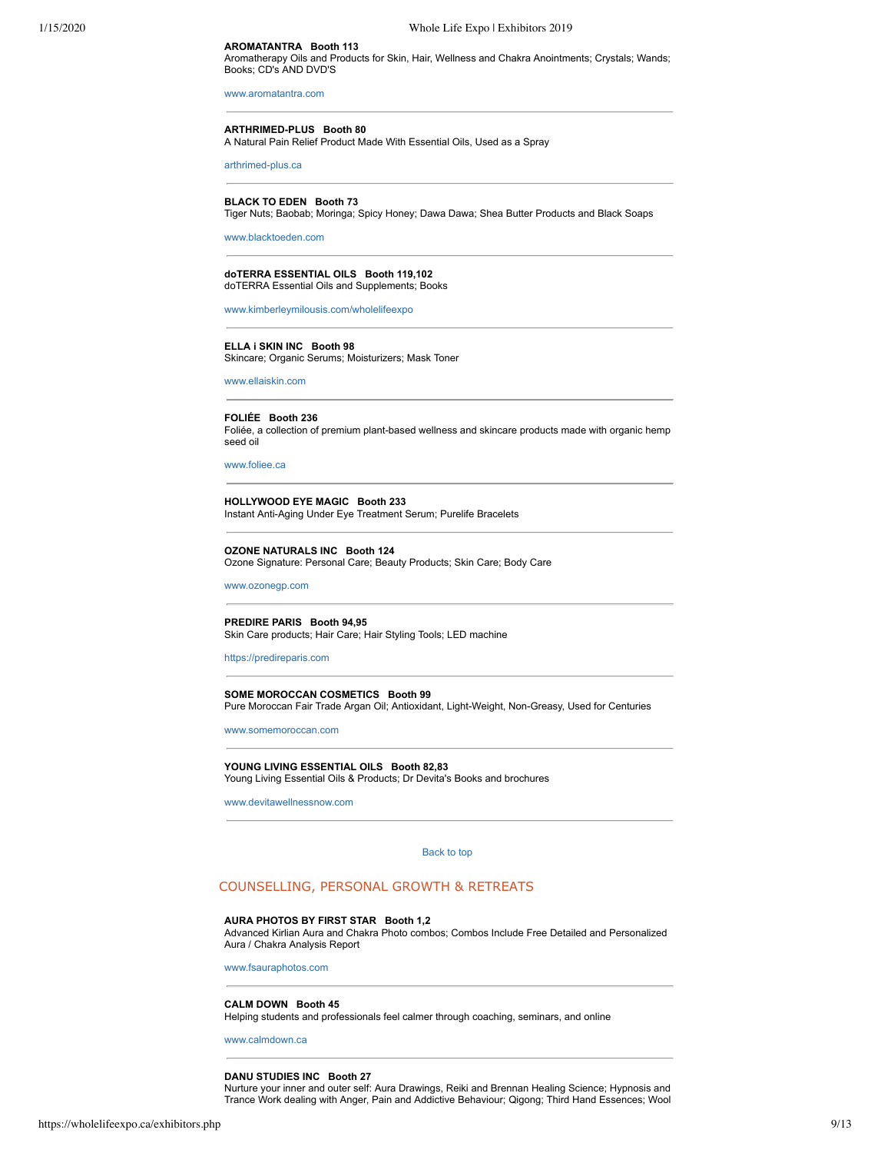## **AROMATANTRA Booth 113**

Aromatherapy Oils and Products for Skin, Hair, Wellness and Chakra Anointments; Crystals; Wands; Books; CD's AND DVD'S

[www.aromatantra.com](http://www.aromatantra.com/)

#### **ARTHRIMED-PLUS Booth 80** A Natural Pain Relief Product Made With Essential Oils, Used as a Spray

[arthrimed-plus.ca](http://arthrimed-plus.ca/)

## **BLACK TO EDEN Booth 73**

Tiger Nuts; Baobab; Moringa; Spicy Honey; Dawa Dawa; Shea Butter Products and Black Soaps

[www.blacktoeden.com](http://www.blacktoeden.com/)

#### **doTERRA ESSENTIAL OILS Booth 119,102** doTERRA Essential Oils and Supplements; Books

[www.kimberleymilousis.com/wholelifeexpo](http://www.kimberleymilousis.com/wholelifeexpo)

#### **ELLA i SKIN INC Booth 98** Skincare; Organic Serums; Moisturizers; Mask Toner

[www.ellaiskin.com](http://www.ellaiskin.com/)

**FOLIÉE Booth 236** Foliée, a collection of premium plant-based wellness and skincare products made with organic hemp seed oil

[www.foliee.ca](http://www.foliee.ca/)

**HOLLYWOOD EYE MAGIC Booth 233** Instant Anti-Aging Under Eye Treatment Serum; Purelife Bracelets

**OZONE NATURALS INC Booth 124** Ozone Signature: Personal Care; Beauty Products; Skin Care; Body Care

[www.ozonegp.com](http://www.ozonegp.com/)

**PREDIRE PARIS Booth 94,95** Skin Care products; Hair Care; Hair Styling Tools; LED machine

[https://predireparis.com](http://https//predireparis.com)

**SOME MOROCCAN COSMETICS Booth 99** Pure Moroccan Fair Trade Argan Oil; Antioxidant, Light-Weight, Non-Greasy, Used for Centuries

[www.somemoroccan.com](http://www.somemoroccan.com/)

**YOUNG LIVING ESSENTIAL OILS Booth 82,83** Young Living Essential Oils & Products; Dr Devita's Books and brochures

<span id="page-8-0"></span>[www.devitawellnessnow.com](http://www.devitawellnessnow.com/)

[Back to top](#page-0-1) 

## COUNSELLING, PERSONAL GROWTH & RETREATS

## **AURA PHOTOS BY FIRST STAR Booth 1,2**

Advanced Kirlian Aura and Chakra Photo combos; Combos Include Free Detailed and Personalized Aura / Chakra Analysis Report

[www.fsauraphotos.com](http://www.fsauraphotos.com/)

#### **CALM DOWN Booth 45**

Helping students and professionals feel calmer through coaching, seminars, and online

[www.calmdown.ca](http://www.calmdown.ca/)

#### **DANU STUDIES INC Booth 27**

Nurture your inner and outer self: Aura Drawings, Reiki and Brennan Healing Science; Hypnosis and Trance Work dealing with Anger, Pain and Addictive Behaviour; Qigong; Third Hand Essences; Wool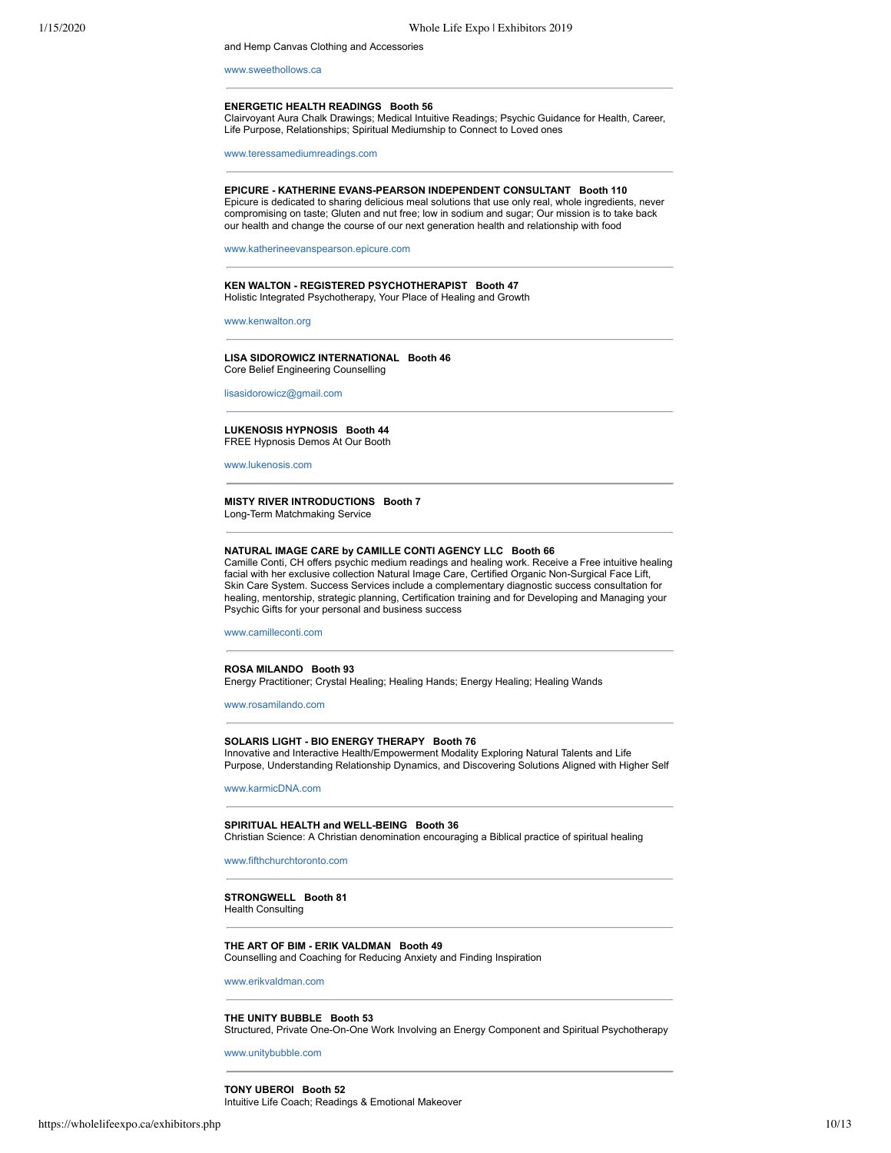and Hemp Canvas Clothing and Accessories

[www.sweethollows.ca](http://www.sweethollows.ca/)

#### **ENERGETIC HEALTH READINGS Booth 56**

Clairvoyant Aura Chalk Drawings; Medical Intuitive Readings; Psychic Guidance for Health, Career, Life Purpose, Relationships; Spiritual Mediumship to Connect to Loved ones

[www.teressamediumreadings.com](http://www.teressamediumreadings.com/)

**EPICURE - KATHERINE EVANS-PEARSON INDEPENDENT CONSULTANT Booth 110** Epicure is dedicated to sharing delicious meal solutions that use only real, whole ingredients, never compromising on taste; Gluten and nut free; low in sodium and sugar; Our mission is to take back our health and change the course of our next generation health and relationship with food

[www.katherineevanspearson.epicure.com](http://www.katherineevanspearson.epicure.com/)

#### **KEN WALTON - REGISTERED PSYCHOTHERAPIST Booth 47** Holistic Integrated Psychotherapy, Your Place of Healing and Growth

[www.kenwalton.org](http://www.kenwalton.org/)

**LISA SIDOROWICZ INTERNATIONAL Booth 46** Core Belief Engineering Counselling

[lisasidorowicz@gmail.com](http://lisasidorowicz@gmail.com/)

#### **LUKENOSIS HYPNOSIS Booth 44** FREE Hypnosis Demos At Our Booth

[www.lukenosis.com](http://www.lukenosis.com/)

#### **MISTY RIVER INTRODUCTIONS Booth 7** Long-Term Matchmaking Service

## **NATURAL IMAGE CARE by CAMILLE CONTI AGENCY LLC Booth 66**

Camille Conti, CH offers psychic medium readings and healing work. Receive a Free intuitive healing facial with her exclusive collection Natural Image Care, Certified Organic Non-Surgical Face Lift, Skin Care System. Success Services include a complementary diagnostic success consultation for healing, mentorship, strategic planning, Certification training and for Developing and Managing your Psychic Gifts for your personal and business success

[www.camilleconti.com](http://www.camilleconti.com/)

## **ROSA MILANDO Booth 93**

Energy Practitioner; Crystal Healing; Healing Hands; Energy Healing; Healing Wands

[www.rosamilando.com](http://www.rosamilando.com/)

#### **SOLARIS LIGHT - BIO ENERGY THERAPY Booth 76**

Innovative and Interactive Health/Empowerment Modality Exploring Natural Talents and Life Purpose, Understanding Relationship Dynamics, and Discovering Solutions Aligned with Higher Self

[www.karmicDNA.com](http://www.karmicdna.com/)

#### **SPIRITUAL HEALTH and WELL-BEING Booth 36**

Christian Science: A Christian denomination encouraging a Biblical practice of spiritual healing

[www.fifthchurchtoronto.com](http://www.fifthchurchtoronto.com/)

#### **STRONGWELL Booth 81** Health Consulting

#### **THE ART OF BIM - ERIK VALDMAN Booth 49**

Counselling and Coaching for Reducing Anxiety and Finding Inspiration

[www.erikvaldman.com](http://www.erikvaldman.com/)

#### **THE UNITY BUBBLE Booth 53**

Structured, Private One-On-One Work Involving an Energy Component and Spiritual Psychotherapy

[www.unitybubble.com](http://www.unitybubble.com/)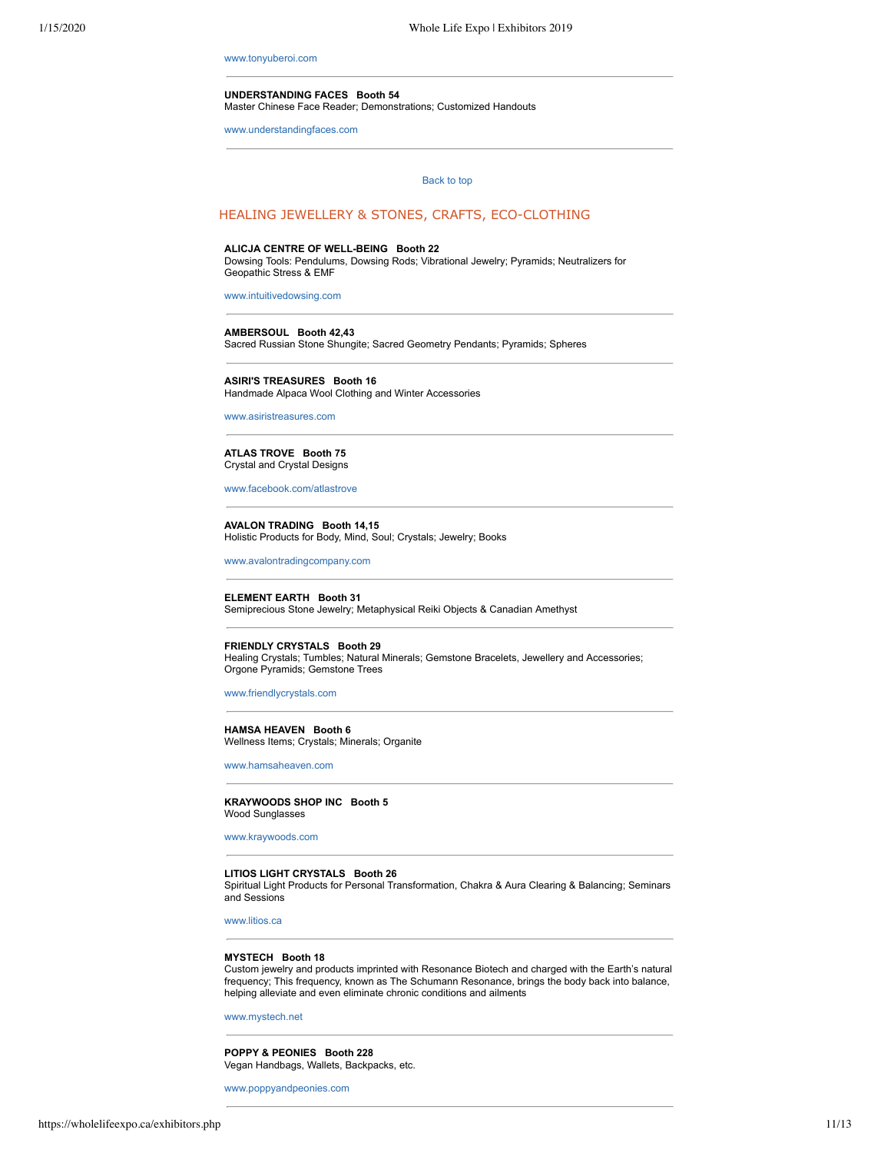[www.tonyuberoi.com](http://www.tonyuberoi.com/)

#### **UNDERSTANDING FACES Booth 54**

Master Chinese Face Reader; Demonstrations; Customized Handouts

<span id="page-10-0"></span>[www.understandingfaces.com](http://www.understandingfaces.com/)

#### [Back to top](#page-0-1)

## HEALING JEWELLERY & STONES, CRAFTS, ECO-CLOTHING

#### **ALICJA CENTRE OF WELL-BEING Booth 22**

Dowsing Tools: Pendulums, Dowsing Rods; Vibrational Jewelry; Pyramids; Neutralizers for Geopathic Stress & EMF

[www.intuitivedowsing.com](http://www.intuitivedowsing.com/)

#### **AMBERSOUL Booth 42,43**

Sacred Russian Stone Shungite; Sacred Geometry Pendants; Pyramids; Spheres

**ASIRI'S TREASURES Booth 16** Handmade Alpaca Wool Clothing and Winter Accessories

[www.asiristreasures.com](http://www.asiristreasures.com/)

**ATLAS TROVE Booth 75** Crystal and Crystal Designs

[www.facebook.com/atlastrove](http://www.facebook.com/atlastrove)

**AVALON TRADING Booth 14,15** Holistic Products for Body, Mind, Soul; Crystals; Jewelry; Books

[www.avalontradingcompany.com](http://www.avalontradingcompany.com/)

**ELEMENT EARTH Booth 31** Semiprecious Stone Jewelry; Metaphysical Reiki Objects & Canadian Amethyst

**FRIENDLY CRYSTALS Booth 29**

Healing Crystals; Tumbles; Natural Minerals; Gemstone Bracelets, Jewellery and Accessories; Orgone Pyramids; Gemstone Trees

[www.friendlycrystals.com](http://www.friendlycrystals.com/)

**HAMSA HEAVEN Booth 6** Wellness Items; Crystals; Minerals; Organite

[www.hamsaheaven.com](http://www.hamsaheaven.com/)

**KRAYWOODS SHOP INC Booth 5** Wood Sunglasses

[www.kraywoods.com](http://www.kraywoods.com/)

## **LITIOS LIGHT CRYSTALS Booth 26**

Spiritual Light Products for Personal Transformation, Chakra & Aura Clearing & Balancing; Seminars and Sessions

[www.litios.ca](http://www.litios.ca/)

## **MYSTECH Booth 18**

Custom jewelry and products imprinted with Resonance Biotech and charged with the Earth's natural frequency; This frequency, known as The Schumann Resonance, brings the body back into balance, helping alleviate and even eliminate chronic conditions and ailments

[www.mystech.net](http://www.mystech.net/)

**POPPY & PEONIES Booth 228** Vegan Handbags, Wallets, Backpacks, etc.

[www.poppyandpeonies.com](http://www.poppyandpeonies.com/)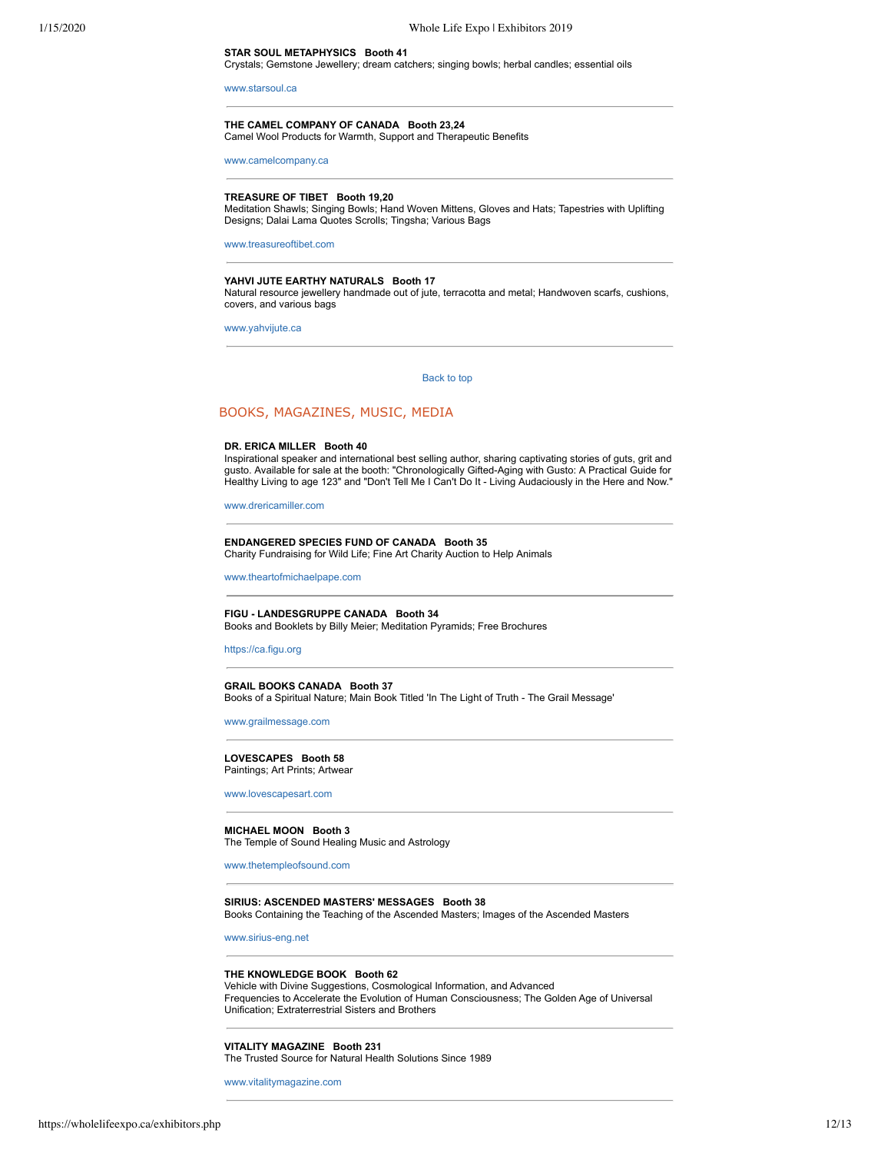[www.starsoul.ca](http://www.starsoul.ca/)

# **THE CAMEL COMPANY OF CANADA Booth 23,24**

Camel Wool Products for Warmth, Support and Therapeutic Benefits

[www.camelcompany.ca](http://www.camelcompany.ca/)

## **TREASURE OF TIBET Booth 19,20**

**STAR SOUL METAPHYSICS Booth 41**

Meditation Shawls; Singing Bowls; Hand Woven Mittens, Gloves and Hats; Tapestries with Uplifting Designs; Dalai Lama Quotes Scrolls; Tingsha; Various Bags

Crystals; Gemstone Jewellery; dream catchers; singing bowls; herbal candles; essential oils

[www.treasureoftibet.com](http://www.treasureoftibet.com/)

## **YAHVI JUTE EARTHY NATURALS Booth 17**

Natural resource jewellery handmade out of jute, terracotta and metal; Handwoven scarfs, cushions, covers, and various bags

<span id="page-11-0"></span>[www.yahvijute.ca](http://www.yahvijute.ca/)

[Back to top](#page-0-1) 

## BOOKS, MAGAZINES, MUSIC, MEDIA

## **DR. ERICA MILLER Booth 40**

Inspirational speaker and international best selling author, sharing captivating stories of guts, grit and gusto. Available for sale at the booth: "Chronologically Gifted-Aging with Gusto: A Practical Guide for Healthy Living to age 123" and "Don't Tell Me I Can't Do It - Living Audaciously in the Here and Now."

[www.drericamiller.com](http://www.drericamiller.com/)

# **ENDANGERED SPECIES FUND OF CANADA Booth 35**

Charity Fundraising for Wild Life; Fine Art Charity Auction to Help Animals

[www.theartofmichaelpape.com](http://www.theartofmichaelpape.com/)

#### **FIGU - LANDESGRUPPE CANADA Booth 34** Books and Booklets by Billy Meier; Meditation Pyramids; Free Brochures

[https://ca.figu.org](http://https//ca.figu.org)

#### **GRAIL BOOKS CANADA Booth 37**

Books of a Spiritual Nature; Main Book Titled 'In The Light of Truth - The Grail Message'

[www.grailmessage.com](http://www.grailmessage.com/)

#### **LOVESCAPES Booth 58**

Paintings; Art Prints; Artwear

[www.lovescapesart.com](http://www.lovescapesart.com/)

#### **MICHAEL MOON Booth 3**

The Temple of Sound Healing Music and Astrology

[www.thetempleofsound.com](http://www.thetempleofsound.com/)

#### **SIRIUS: ASCENDED MASTERS' MESSAGES Booth 38** Books Containing the Teaching of the Ascended Masters; Images of the Ascended Masters

[www.sirius-eng.net](http://www.sirius-eng.net/)

#### **THE KNOWLEDGE BOOK Booth 62**

Vehicle with Divine Suggestions, Cosmological Information, and Advanced Frequencies to Accelerate the Evolution of Human Consciousness; The Golden Age of Universal Unification; Extraterrestrial Sisters and Brothers

#### **VITALITY MAGAZINE Booth 231**

The Trusted Source for Natural Health Solutions Since 1989

[www.vitalitymagazine.com](http://www.vitalitymagazine.com/)